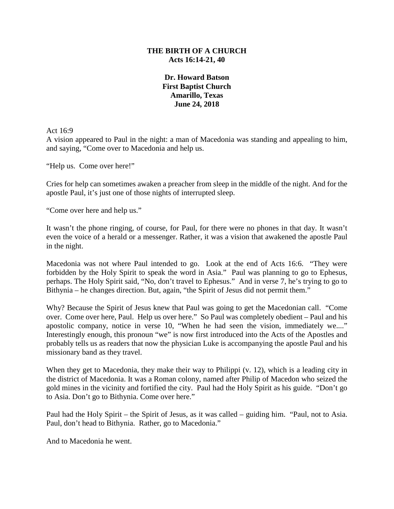## **THE BIRTH OF A CHURCH Acts 16:14-21, 40**

**Dr. Howard Batson First Baptist Church Amarillo, Texas June 24, 2018**

Act 16:9

A vision appeared to Paul in the night: a man of Macedonia was standing and appealing to him, and saying, "Come over to Macedonia and help us.

"Help us. Come over here!"

Cries for help can sometimes awaken a preacher from sleep in the middle of the night. And for the apostle Paul, it's just one of those nights of interrupted sleep.

"Come over here and help us."

It wasn't the phone ringing, of course, for Paul, for there were no phones in that day. It wasn't even the voice of a herald or a messenger. Rather, it was a vision that awakened the apostle Paul in the night.

Macedonia was not where Paul intended to go. Look at the end of Acts 16:6. "They were forbidden by the Holy Spirit to speak the word in Asia." Paul was planning to go to Ephesus, perhaps. The Holy Spirit said, "No, don't travel to Ephesus." And in verse 7, he's trying to go to Bithynia – he changes direction. But, again, "the Spirit of Jesus did not permit them."

Why? Because the Spirit of Jesus knew that Paul was going to get the Macedonian call. "Come over. Come over here, Paul. Help us over here." So Paul was completely obedient – Paul and his apostolic company, notice in verse 10, "When he had seen the vision, immediately we...." Interestingly enough, this pronoun "we" is now first introduced into the Acts of the Apostles and probably tells us as readers that now the physician Luke is accompanying the apostle Paul and his missionary band as they travel.

When they get to Macedonia, they make their way to Philippi (v. 12), which is a leading city in the district of Macedonia. It was a Roman colony, named after Philip of Macedon who seized the gold mines in the vicinity and fortified the city. Paul had the Holy Spirit as his guide. "Don't go to Asia. Don't go to Bithynia. Come over here."

Paul had the Holy Spirit – the Spirit of Jesus, as it was called – guiding him. "Paul, not to Asia. Paul, don't head to Bithynia. Rather, go to Macedonia."

And to Macedonia he went.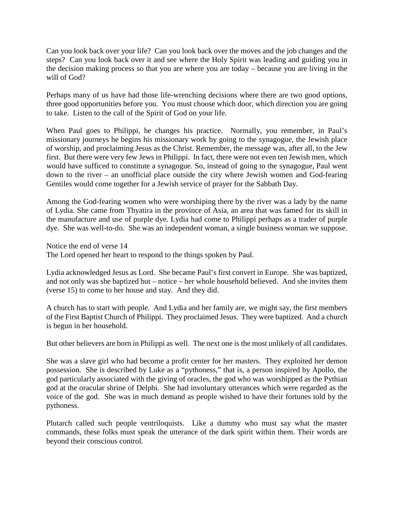Can you look back over your life? Can you look back over the moves and the job changes and the steps? Can you look back over it and see where the Holy Spirit was leading and guiding you in the decision making process so that you are where you are today – because you are living in the will of God?

Perhaps many of us have had those life-wrenching decisions where there are two good options, three good opportunities before you. You must choose which door, which direction you are going to take. Listen to the call of the Spirit of God on your life.

When Paul goes to Philippi, he changes his practice. Normally, you remember, in Paul's missionary journeys he begins his missionary work by going to the synagogue, the Jewish place of worship, and proclaiming Jesus as the Christ. Remember, the message was, after all, to the Jew first. But there were very few Jews in Philippi. In fact, there were not even ten Jewish men, which would have sufficed to constitute a synagogue. So, instead of going to the synagogue, Paul went down to the river – an unofficial place outside the city where Jewish women and God-fearing Gentiles would come together for a Jewish service of prayer for the Sabbath Day.

Among the God-fearing women who were worshiping there by the river was a lady by the name of Lydia. She came from Thyatira in the province of Asia, an area that was famed for its skill in the manufacture and use of purple dye. Lydia had come to Philippi perhaps as a trader of purple dye. She was well-to-do. She was an independent woman, a single business woman we suppose.

Notice the end of verse 14

The Lord opened her heart to respond to the things spoken by Paul.

Lydia acknowledged Jesus as Lord. She became Paul's first convert in Europe. She was baptized, and not only was she baptized but – notice – her whole household believed. And she invites them (verse 15) to come to her house and stay. And they did.

A church has to start with people. And Lydia and her family are, we might say, the first members of the First Baptist Church of Philippi. They proclaimed Jesus. They were baptized. And a church is begun in her household.

But other believers are born in Philippi as well. The next one is the most unlikely of all candidates.

She was a slave girl who had become a profit center for her masters. They exploited her demon possession. She is described by Luke as a "pythoness," that is, a person inspired by Apollo, the god particularly associated with the giving of oracles, the god who was worshipped as the Pythian god at the oracular shrine of Delphi. She had involuntary utterances which were regarded as the voice of the god. She was in much demand as people wished to have their fortunes told by the pythoness.

Plutarch called such people ventriloquists. Like a dummy who must say what the master commands, these folks must speak the utterance of the dark spirit within them. Their words are beyond their conscious control.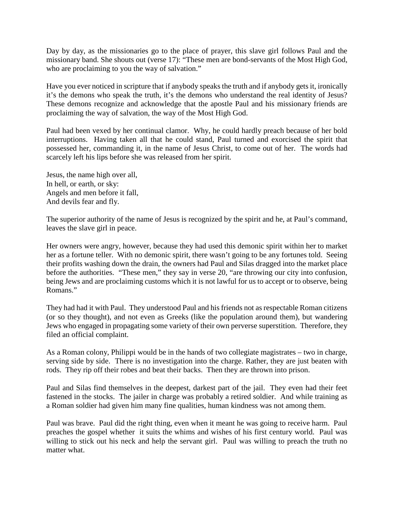Day by day, as the missionaries go to the place of prayer, this slave girl follows Paul and the missionary band. She shouts out (verse 17): "These men are bond-servants of the Most High God, who are proclaiming to you the way of salvation."

Have you ever noticed in scripture that if anybody speaks the truth and if anybody gets it, ironically it's the demons who speak the truth, it's the demons who understand the real identity of Jesus? These demons recognize and acknowledge that the apostle Paul and his missionary friends are proclaiming the way of salvation, the way of the Most High God.

Paul had been vexed by her continual clamor. Why, he could hardly preach because of her bold interruptions. Having taken all that he could stand, Paul turned and exorcised the spirit that possessed her, commanding it, in the name of Jesus Christ, to come out of her. The words had scarcely left his lips before she was released from her spirit.

Jesus, the name high over all, In hell, or earth, or sky: Angels and men before it fall, And devils fear and fly.

The superior authority of the name of Jesus is recognized by the spirit and he, at Paul's command, leaves the slave girl in peace.

Her owners were angry, however, because they had used this demonic spirit within her to market her as a fortune teller. With no demonic spirit, there wasn't going to be any fortunes told. Seeing their profits washing down the drain, the owners had Paul and Silas dragged into the market place before the authorities. "These men," they say in verse 20, "are throwing our city into confusion, being Jews and are proclaiming customs which it is not lawful for us to accept or to observe, being Romans."

They had had it with Paul. They understood Paul and his friends not as respectable Roman citizens (or so they thought), and not even as Greeks (like the population around them), but wandering Jews who engaged in propagating some variety of their own perverse superstition. Therefore, they filed an official complaint.

As a Roman colony, Philippi would be in the hands of two collegiate magistrates – two in charge, serving side by side. There is no investigation into the charge. Rather, they are just beaten with rods. They rip off their robes and beat their backs. Then they are thrown into prison.

Paul and Silas find themselves in the deepest, darkest part of the jail. They even had their feet fastened in the stocks. The jailer in charge was probably a retired soldier. And while training as a Roman soldier had given him many fine qualities, human kindness was not among them.

Paul was brave. Paul did the right thing, even when it meant he was going to receive harm. Paul preaches the gospel whether it suits the whims and wishes of his first century world. Paul was willing to stick out his neck and help the servant girl. Paul was willing to preach the truth no matter what.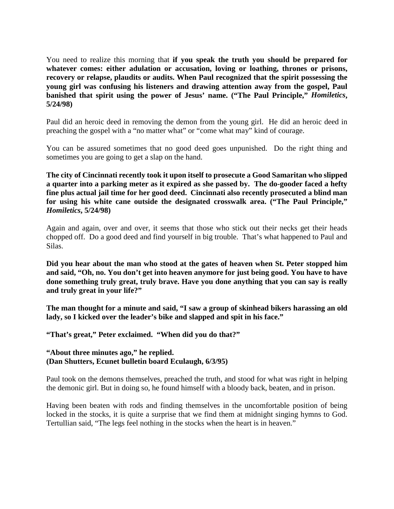You need to realize this morning that **if you speak the truth you should be prepared for whatever comes: either adulation or accusation, loving or loathing, thrones or prisons, recovery or relapse, plaudits or audits. When Paul recognized that the spirit possessing the young girl was confusing his listeners and drawing attention away from the gospel, Paul banished that spirit using the power of Jesus' name. ("The Paul Principle,"** *Homiletics***, 5/24/98)**

Paul did an heroic deed in removing the demon from the young girl. He did an heroic deed in preaching the gospel with a "no matter what" or "come what may" kind of courage.

You can be assured sometimes that no good deed goes unpunished. Do the right thing and sometimes you are going to get a slap on the hand.

**The city of Cincinnati recently took it upon itself to prosecute a Good Samaritan who slipped a quarter into a parking meter as it expired as she passed by. The do-gooder faced a hefty fine plus actual jail time for her good deed. Cincinnati also recently prosecuted a blind man for using his white cane outside the designated crosswalk area. ("The Paul Principle,"**  *Homiletics***, 5/24/98)**

Again and again, over and over, it seems that those who stick out their necks get their heads chopped off. Do a good deed and find yourself in big trouble. That's what happened to Paul and Silas.

**Did you hear about the man who stood at the gates of heaven when St. Peter stopped him and said, "Oh, no. You don't get into heaven anymore for just being good. You have to have done something truly great, truly brave. Have you done anything that you can say is really and truly great in your life?"**

**The man thought for a minute and said, "I saw a group of skinhead bikers harassing an old lady, so I kicked over the leader's bike and slapped and spit in his face."**

**"That's great," Peter exclaimed. "When did you do that?"**

## **"About three minutes ago," he replied. (Dan Shutters, Ecunet bulletin board Eculaugh, 6/3/95)**

Paul took on the demons themselves, preached the truth, and stood for what was right in helping the demonic girl. But in doing so, he found himself with a bloody back, beaten, and in prison.

Having been beaten with rods and finding themselves in the uncomfortable position of being locked in the stocks, it is quite a surprise that we find them at midnight singing hymns to God. Tertullian said, "The legs feel nothing in the stocks when the heart is in heaven."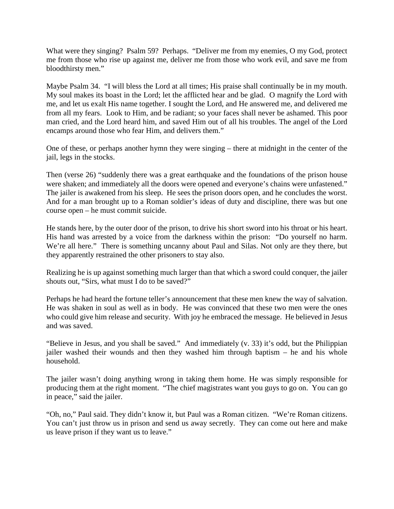What were they singing? Psalm 59? Perhaps. "Deliver me from my enemies, O my God, protect me from those who rise up against me, deliver me from those who work evil, and save me from bloodthirsty men."

Maybe Psalm 34. "I will bless the Lord at all times; His praise shall continually be in my mouth. My soul makes its boast in the Lord; let the afflicted hear and be glad. O magnify the Lord with me, and let us exalt His name together. I sought the Lord, and He answered me, and delivered me from all my fears. Look to Him, and be radiant; so your faces shall never be ashamed. This poor man cried, and the Lord heard him, and saved Him out of all his troubles. The angel of the Lord encamps around those who fear Him, and delivers them."

One of these, or perhaps another hymn they were singing – there at midnight in the center of the jail, legs in the stocks.

Then (verse 26) "suddenly there was a great earthquake and the foundations of the prison house were shaken; and immediately all the doors were opened and everyone's chains were unfastened." The jailer is awakened from his sleep. He sees the prison doors open, and he concludes the worst. And for a man brought up to a Roman soldier's ideas of duty and discipline, there was but one course open – he must commit suicide.

He stands here, by the outer door of the prison, to drive his short sword into his throat or his heart. His hand was arrested by a voice from the darkness within the prison: "Do yourself no harm. We're all here." There is something uncanny about Paul and Silas. Not only are they there, but they apparently restrained the other prisoners to stay also.

Realizing he is up against something much larger than that which a sword could conquer, the jailer shouts out, "Sirs, what must I do to be saved?"

Perhaps he had heard the fortune teller's announcement that these men knew the way of salvation. He was shaken in soul as well as in body. He was convinced that these two men were the ones who could give him release and security. With joy he embraced the message. He believed in Jesus and was saved.

"Believe in Jesus, and you shall be saved." And immediately (v. 33) it's odd, but the Philippian jailer washed their wounds and then they washed him through baptism – he and his whole household.

The jailer wasn't doing anything wrong in taking them home. He was simply responsible for producing them at the right moment. "The chief magistrates want you guys to go on. You can go in peace," said the jailer.

"Oh, no," Paul said. They didn't know it, but Paul was a Roman citizen. "We're Roman citizens. You can't just throw us in prison and send us away secretly. They can come out here and make us leave prison if they want us to leave."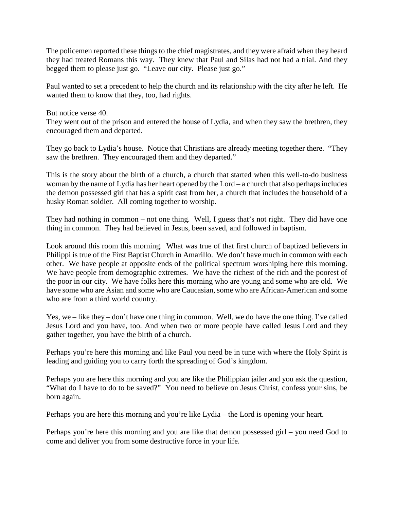The policemen reported these things to the chief magistrates, and they were afraid when they heard they had treated Romans this way. They knew that Paul and Silas had not had a trial. And they begged them to please just go. "Leave our city. Please just go."

Paul wanted to set a precedent to help the church and its relationship with the city after he left. He wanted them to know that they, too, had rights.

But notice verse 40.

They went out of the prison and entered the house of Lydia, and when they saw the brethren, they encouraged them and departed.

They go back to Lydia's house. Notice that Christians are already meeting together there. "They saw the brethren. They encouraged them and they departed."

This is the story about the birth of a church, a church that started when this well-to-do business woman by the name of Lydia has her heart opened by the Lord – a church that also perhaps includes the demon possessed girl that has a spirit cast from her, a church that includes the household of a husky Roman soldier. All coming together to worship.

They had nothing in common – not one thing. Well, I guess that's not right. They did have one thing in common. They had believed in Jesus, been saved, and followed in baptism.

Look around this room this morning. What was true of that first church of baptized believers in Philippi is true of the First Baptist Church in Amarillo. We don't have much in common with each other. We have people at opposite ends of the political spectrum worshiping here this morning. We have people from demographic extremes. We have the richest of the rich and the poorest of the poor in our city. We have folks here this morning who are young and some who are old. We have some who are Asian and some who are Caucasian, some who are African-American and some who are from a third world country.

Yes, we – like they – don't have one thing in common. Well, we do have the one thing. I've called Jesus Lord and you have, too. And when two or more people have called Jesus Lord and they gather together, you have the birth of a church.

Perhaps you're here this morning and like Paul you need be in tune with where the Holy Spirit is leading and guiding you to carry forth the spreading of God's kingdom.

Perhaps you are here this morning and you are like the Philippian jailer and you ask the question, "What do I have to do to be saved?" You need to believe on Jesus Christ, confess your sins, be born again.

Perhaps you are here this morning and you're like Lydia – the Lord is opening your heart.

Perhaps you're here this morning and you are like that demon possessed girl – you need God to come and deliver you from some destructive force in your life.